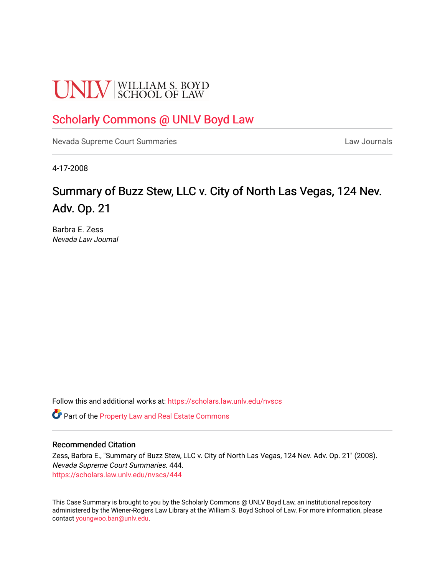# **UNLV** SCHOOL OF LAW

## [Scholarly Commons @ UNLV Boyd Law](https://scholars.law.unlv.edu/)

[Nevada Supreme Court Summaries](https://scholars.law.unlv.edu/nvscs) **Law Journals** Law Journals

4-17-2008

# Summary of Buzz Stew, LLC v. City of North Las Vegas, 124 Nev. Adv. Op. 21

Barbra E. Zess Nevada Law Journal

Follow this and additional works at: [https://scholars.law.unlv.edu/nvscs](https://scholars.law.unlv.edu/nvscs?utm_source=scholars.law.unlv.edu%2Fnvscs%2F444&utm_medium=PDF&utm_campaign=PDFCoverPages)

Part of the [Property Law and Real Estate Commons](http://network.bepress.com/hgg/discipline/897?utm_source=scholars.law.unlv.edu%2Fnvscs%2F444&utm_medium=PDF&utm_campaign=PDFCoverPages) 

#### Recommended Citation

Zess, Barbra E., "Summary of Buzz Stew, LLC v. City of North Las Vegas, 124 Nev. Adv. Op. 21" (2008). Nevada Supreme Court Summaries. 444. [https://scholars.law.unlv.edu/nvscs/444](https://scholars.law.unlv.edu/nvscs/444?utm_source=scholars.law.unlv.edu%2Fnvscs%2F444&utm_medium=PDF&utm_campaign=PDFCoverPages)

This Case Summary is brought to you by the Scholarly Commons @ UNLV Boyd Law, an institutional repository administered by the Wiener-Rogers Law Library at the William S. Boyd School of Law. For more information, please contact [youngwoo.ban@unlv.edu](mailto:youngwoo.ban@unlv.edu).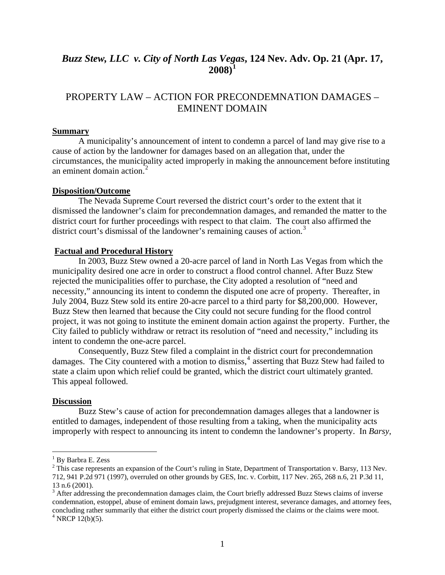## *Buzz Stew, LLC v. City of North Las Vegas***, 124 Nev. Adv. Op. 21 (Apr. 17, 2008)[1](#page-1-0)**

### PROPERTY LAW – ACTION FOR PRECONDEMNATION DAMAGES – EMINENT DOMAIN

#### **Summary**

A municipality's announcement of intent to condemn a parcel of land may give rise to a cause of action by the landowner for damages based on an allegation that, under the circumstances, the municipality acted improperly in making the announcement before instituting an eminent domain action.<sup>[2](#page-1-1)</sup>

#### **Disposition/Outcome**

The Nevada Supreme Court reversed the district court's order to the extent that it dismissed the landowner's claim for precondemnation damages, and remanded the matter to the district court for further proceedings with respect to that claim. The court also affirmed the district court's dismissal of the landowner's remaining causes of action.<sup>[3](#page-1-2)</sup>

#### **Factual and Procedural History**

In 2003, Buzz Stew owned a 20-acre parcel of land in North Las Vegas from which the municipality desired one acre in order to construct a flood control channel. After Buzz Stew rejected the municipalities offer to purchase, the City adopted a resolution of "need and necessity," announcing its intent to condemn the disputed one acre of property. Thereafter, in July 2004, Buzz Stew sold its entire 20-acre parcel to a third party for \$8,200,000. However, Buzz Stew then learned that because the City could not secure funding for the flood control project, it was not going to institute the eminent domain action against the property. Further, the City failed to publicly withdraw or retract its resolution of "need and necessity," including its intent to condemn the one-acre parcel.

Consequently, Buzz Stew filed a complaint in the district court for precondemnation damages. The City countered with a motion to dismiss,<sup>[4](#page-1-3)</sup> asserting that Buzz Stew had failed to state a claim upon which relief could be granted, which the district court ultimately granted. This appeal followed.

#### **Discussion**

1

 Buzz Stew's cause of action for precondemnation damages alleges that a landowner is entitled to damages, independent of those resulting from a taking, when the municipality acts improperly with respect to announcing its intent to condemn the landowner's property. In *Barsy*,

<sup>&</sup>lt;sup>1</sup> By Barbra E. Zess

<span id="page-1-1"></span><span id="page-1-0"></span> $2^2$  This case represents an expansion of the Court's ruling in State, Department of Transportation v. Barsy, 113 Nev. 712, 941 P.2d 971 (1997), overruled on other grounds by GES, Inc. v. Corbitt, 117 Nev. 265, 268 n.6, 21 P.3d 11, 13 n.6 (2001).

<span id="page-1-3"></span><span id="page-1-2"></span> $3$  After addressing the precondemnation damages claim, the Court briefly addressed Buzz Stews claims of inverse condemnation, estoppel, abuse of eminent domain laws, prejudgment interest, severance damages, and attorney fees, concluding rather summarily that either the district court properly dismissed the claims or the claims were moot. 4  $4$  NRCP 12(b)(5).